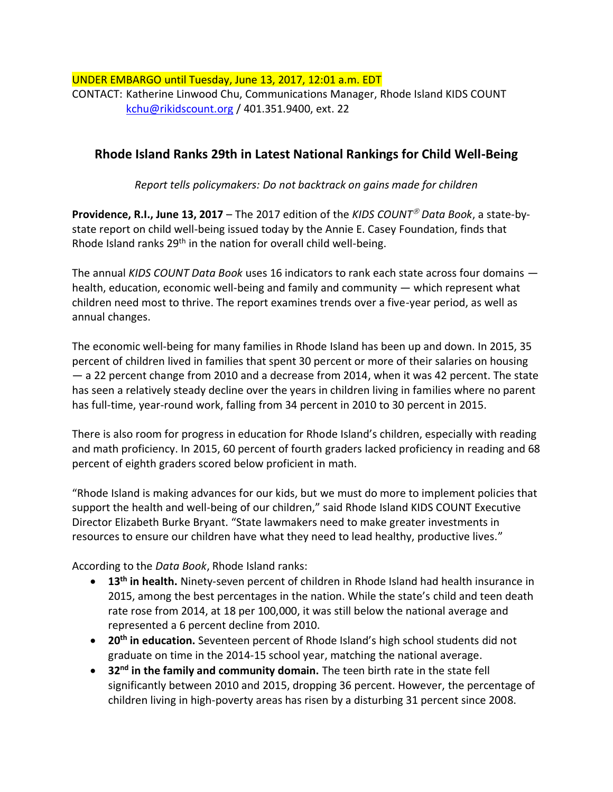UNDER EMBARGO until Tuesday, June 13, 2017, 12:01 a.m. EDT CONTACT: Katherine Linwood Chu, Communications Manager, Rhode Island KIDS COUNT [kchu@rikidscount.org](mailto:kchu@rikidscount.org) / 401.351.9400, ext. 22

## **Rhode Island Ranks 29th in Latest National Rankings for Child Well-Being**

*Report tells policymakers: Do not backtrack on gains made for children*

**Providence, R.I., June 13, 2017** – The 2017 edition of the *KIDS COUNT<sup>®</sup> Data Book*, a state-bystate report on child well-being issued today by the Annie E. Casey Foundation, finds that Rhode Island ranks 29<sup>th</sup> in the nation for overall child well-being.

The annual *KIDS COUNT Data Book* uses 16 indicators to rank each state across four domains health, education, economic well-being and family and community — which represent what children need most to thrive. The report examines trends over a five-year period, as well as annual changes.

The economic well-being for many families in Rhode Island has been up and down. In 2015, 35 percent of children lived in families that spent 30 percent or more of their salaries on housing — a 22 percent change from 2010 and a decrease from 2014, when it was 42 percent. The state has seen a relatively steady decline over the years in children living in families where no parent has full-time, year-round work, falling from 34 percent in 2010 to 30 percent in 2015.

There is also room for progress in education for Rhode Island's children, especially with reading and math proficiency. In 2015, 60 percent of fourth graders lacked proficiency in reading and 68 percent of eighth graders scored below proficient in math.

"Rhode Island is making advances for our kids, but we must do more to implement policies that support the health and well-being of our children," said Rhode Island KIDS COUNT Executive Director Elizabeth Burke Bryant. "State lawmakers need to make greater investments in resources to ensure our children have what they need to lead healthy, productive lives."

According to the *Data Book*, Rhode Island ranks:

- **13th in health.** Ninety-seven percent of children in Rhode Island had health insurance in 2015, among the best percentages in the nation. While the state's child and teen death rate rose from 2014, at 18 per 100,000, it was still below the national average and represented a 6 percent decline from 2010.
- **20th in education.** Seventeen percent of Rhode Island's high school students did not graduate on time in the 2014-15 school year, matching the national average.
- **32nd in the family and community domain.** The teen birth rate in the state fell significantly between 2010 and 2015, dropping 36 percent. However, the percentage of children living in high-poverty areas has risen by a disturbing 31 percent since 2008.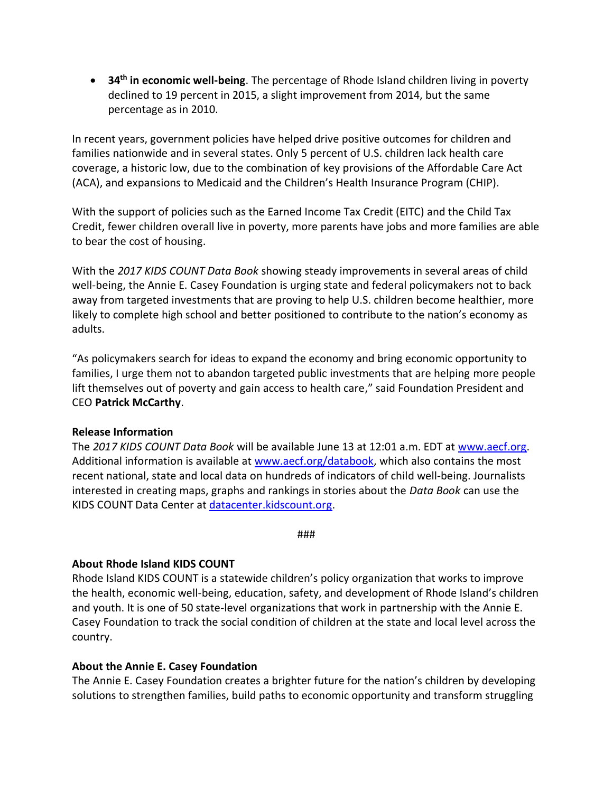• **34th in economic well-being**. The percentage of Rhode Island children living in poverty declined to 19 percent in 2015, a slight improvement from 2014, but the same percentage as in 2010.

In recent years, government policies have helped drive positive outcomes for children and families nationwide and in several states. Only 5 percent of U.S. children lack health care coverage, a historic low, due to the combination of key provisions of the Affordable Care Act (ACA), and expansions to Medicaid and the Children's Health Insurance Program (CHIP).

With the support of policies such as the Earned Income Tax Credit (EITC) and the Child Tax Credit, fewer children overall live in poverty, more parents have jobs and more families are able to bear the cost of housing.

With the *2017 KIDS COUNT Data Book* showing steady improvements in several areas of child well-being, the Annie E. Casey Foundation is urging state and federal policymakers not to back away from targeted investments that are proving to help U.S. children become healthier, more likely to complete high school and better positioned to contribute to the nation's economy as adults.

"As policymakers search for ideas to expand the economy and bring economic opportunity to families, I urge them not to abandon targeted public investments that are helping more people lift themselves out of poverty and gain access to health care," said Foundation President and CEO **Patrick McCarthy**.

## **Release Information**

The *2017 KIDS COUNT Data Book* will be available June 13 at 12:01 a.m. EDT at [www.aecf.org.](http://www.aecf.org/) Additional information is available at [www.aecf.org/databook,](http://www.aecf.org/databook) which also contains the most recent national, state and local data on hundreds of indicators of child well-being. Journalists interested in creating maps, graphs and rankings in stories about the *Data Book* can use the KIDS COUNT Data Center at [datacenter.kidscount.org.](http://datacenter.kidscount.org/)

###

## **About Rhode Island KIDS COUNT**

Rhode Island KIDS COUNT is a statewide children's policy organization that works to improve the health, economic well-being, education, safety, and development of Rhode Island's children and youth. It is one of 50 state-level organizations that work in partnership with the Annie E. Casey Foundation to track the social condition of children at the state and local level across the country.

## **About the Annie E. Casey Foundation**

The Annie E. Casey Foundation creates a brighter future for the nation's children by developing solutions to strengthen families, build paths to economic opportunity and transform struggling